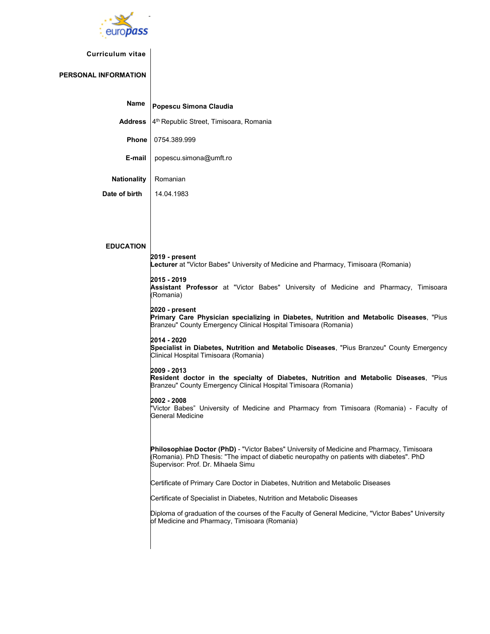

## **Curriculum vitae**

## **PERSONAL INFORMATION**

| Name               | Popescu Simona Claudia                                                                                                                                                                                                              |  |  |  |  |  |  |  |
|--------------------|-------------------------------------------------------------------------------------------------------------------------------------------------------------------------------------------------------------------------------------|--|--|--|--|--|--|--|
| <b>Address</b>     | 4 <sup>th</sup> Republic Street, Timisoara, Romania                                                                                                                                                                                 |  |  |  |  |  |  |  |
| Phone              | 0754.389.999                                                                                                                                                                                                                        |  |  |  |  |  |  |  |
| E-mail             | popescu.simona@umft.ro                                                                                                                                                                                                              |  |  |  |  |  |  |  |
| <b>Nationality</b> | Romanian                                                                                                                                                                                                                            |  |  |  |  |  |  |  |
| Date of birth      | 14.04.1983                                                                                                                                                                                                                          |  |  |  |  |  |  |  |
|                    |                                                                                                                                                                                                                                     |  |  |  |  |  |  |  |
|                    |                                                                                                                                                                                                                                     |  |  |  |  |  |  |  |
| <b>EDUCATION</b>   |                                                                                                                                                                                                                                     |  |  |  |  |  |  |  |
|                    | 2019 - present<br>Lecturer at "Victor Babes" University of Medicine and Pharmacy, Timisoara (Romania)                                                                                                                               |  |  |  |  |  |  |  |
|                    | 2015 - 2019<br>Assistant Professor at "Victor Babes" University of Medicine and Pharmacy, Timisoara<br>(Romania)                                                                                                                    |  |  |  |  |  |  |  |
|                    | 2020 - present<br>Primary Care Physician specializing in Diabetes, Nutrition and Metabolic Diseases, "Pius<br>Branzeu" County Emergency Clinical Hospital Timisoara (Romania)                                                       |  |  |  |  |  |  |  |
|                    | 2014 - 2020<br>Specialist in Diabetes, Nutrition and Metabolic Diseases, "Pius Branzeu" County Emergency<br>Clinical Hospital Timisoara (Romania)                                                                                   |  |  |  |  |  |  |  |
|                    | 2009 - 2013<br>Resident doctor in the specialty of Diabetes, Nutrition and Metabolic Diseases, "Pius<br>Branzeu" County Emergency Clinical Hospital Timisoara (Romania)                                                             |  |  |  |  |  |  |  |
|                    | 2002 - 2008<br>"Victor Babes" University of Medicine and Pharmacy from Timisoara (Romania) - Faculty of<br>General Medicine                                                                                                         |  |  |  |  |  |  |  |
|                    | <b>Philosophiae Doctor (PhD)</b> - "Victor Babes" University of Medicine and Pharmacy, Timisoara<br>(Romania). PhD Thesis: "The impact of diabetic neuropathy on patients with diabetes". PhD<br>Supervisor: Prof. Dr. Mihaela Simu |  |  |  |  |  |  |  |
|                    | Certificate of Primary Care Doctor in Diabetes, Nutrition and Metabolic Diseases                                                                                                                                                    |  |  |  |  |  |  |  |
|                    | Certificate of Specialist in Diabetes, Nutrition and Metabolic Diseases                                                                                                                                                             |  |  |  |  |  |  |  |
|                    | Diploma of graduation of the courses of the Faculty of General Medicine, "Victor Babes" University<br>of Medicine and Pharmacy, Timisoara (Romania)                                                                                 |  |  |  |  |  |  |  |
|                    |                                                                                                                                                                                                                                     |  |  |  |  |  |  |  |